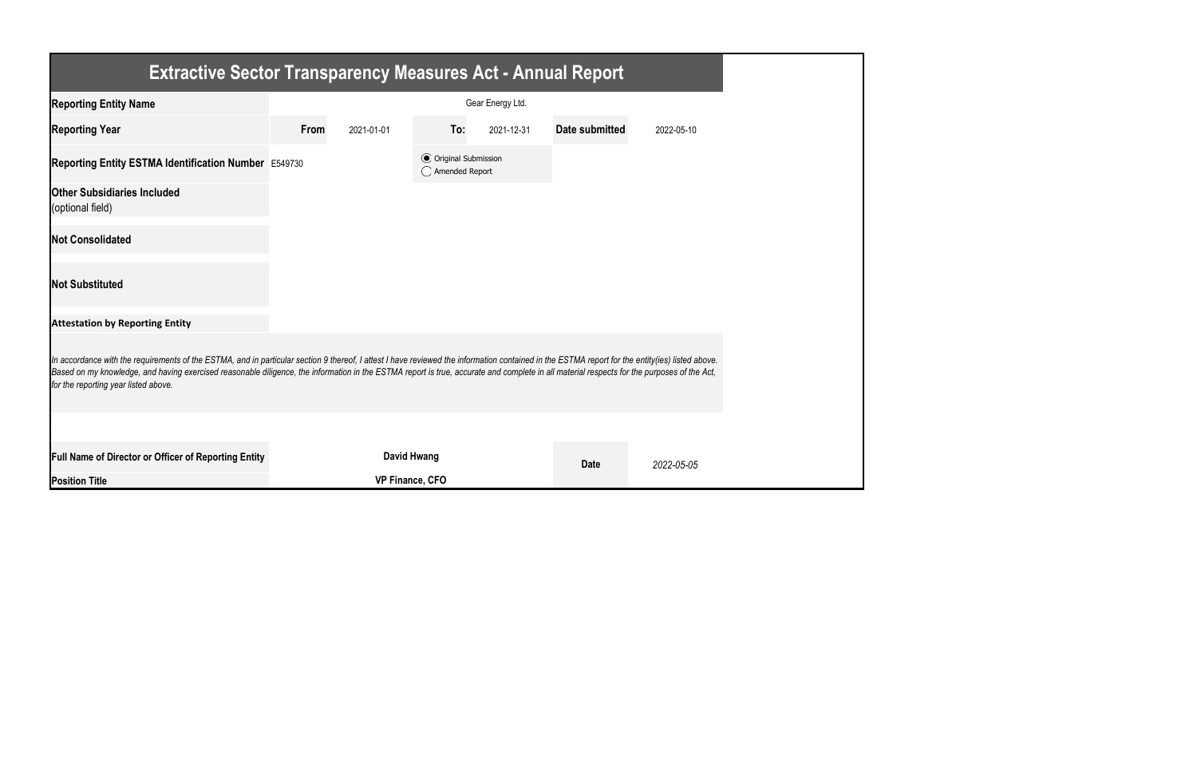| <b>Extractive Sector Transparency Measures Act - Annual Report</b>                                                                                                                                                                                                                                                                                                                                                                    |                  |                        |                                                  |            |                |            |  |  |
|---------------------------------------------------------------------------------------------------------------------------------------------------------------------------------------------------------------------------------------------------------------------------------------------------------------------------------------------------------------------------------------------------------------------------------------|------------------|------------------------|--------------------------------------------------|------------|----------------|------------|--|--|
| <b>Reporting Entity Name</b>                                                                                                                                                                                                                                                                                                                                                                                                          | Gear Energy Ltd. |                        |                                                  |            |                |            |  |  |
| <b>Reporting Year</b>                                                                                                                                                                                                                                                                                                                                                                                                                 | From             | 2021-01-01             | To:                                              | 2021-12-31 | Date submitted | 2022-05-10 |  |  |
| Reporting Entity ESTMA Identification Number E549730                                                                                                                                                                                                                                                                                                                                                                                  |                  |                        | <b>⊙</b> Original Submission<br>◯ Amended Report |            |                |            |  |  |
| <b>Other Subsidiaries Included</b><br>(optional field)                                                                                                                                                                                                                                                                                                                                                                                |                  |                        |                                                  |            |                |            |  |  |
| <b>Not Consolidated</b>                                                                                                                                                                                                                                                                                                                                                                                                               |                  |                        |                                                  |            |                |            |  |  |
| <b>Not Substituted</b>                                                                                                                                                                                                                                                                                                                                                                                                                |                  |                        |                                                  |            |                |            |  |  |
| <b>Attestation by Reporting Entity</b>                                                                                                                                                                                                                                                                                                                                                                                                |                  |                        |                                                  |            |                |            |  |  |
| In accordance with the requirements of the ESTMA, and in particular section 9 thereof, I attest I have reviewed the information contained in the ESTMA report for the entity(ies) listed above.<br>Based on my knowledge, and having exercised reasonable diligence, the information in the ESTMA report is true, accurate and complete in all material respects for the purposes of the Act,<br>for the reporting year listed above. |                  |                        |                                                  |            |                |            |  |  |
|                                                                                                                                                                                                                                                                                                                                                                                                                                       |                  |                        |                                                  |            |                |            |  |  |
| Full Name of Director or Officer of Reporting Entity                                                                                                                                                                                                                                                                                                                                                                                  |                  | <b>David Hwang</b>     |                                                  |            | <b>Date</b>    | 2022-05-05 |  |  |
| <b>Position Title</b>                                                                                                                                                                                                                                                                                                                                                                                                                 |                  | <b>VP Finance, CFO</b> |                                                  |            |                |            |  |  |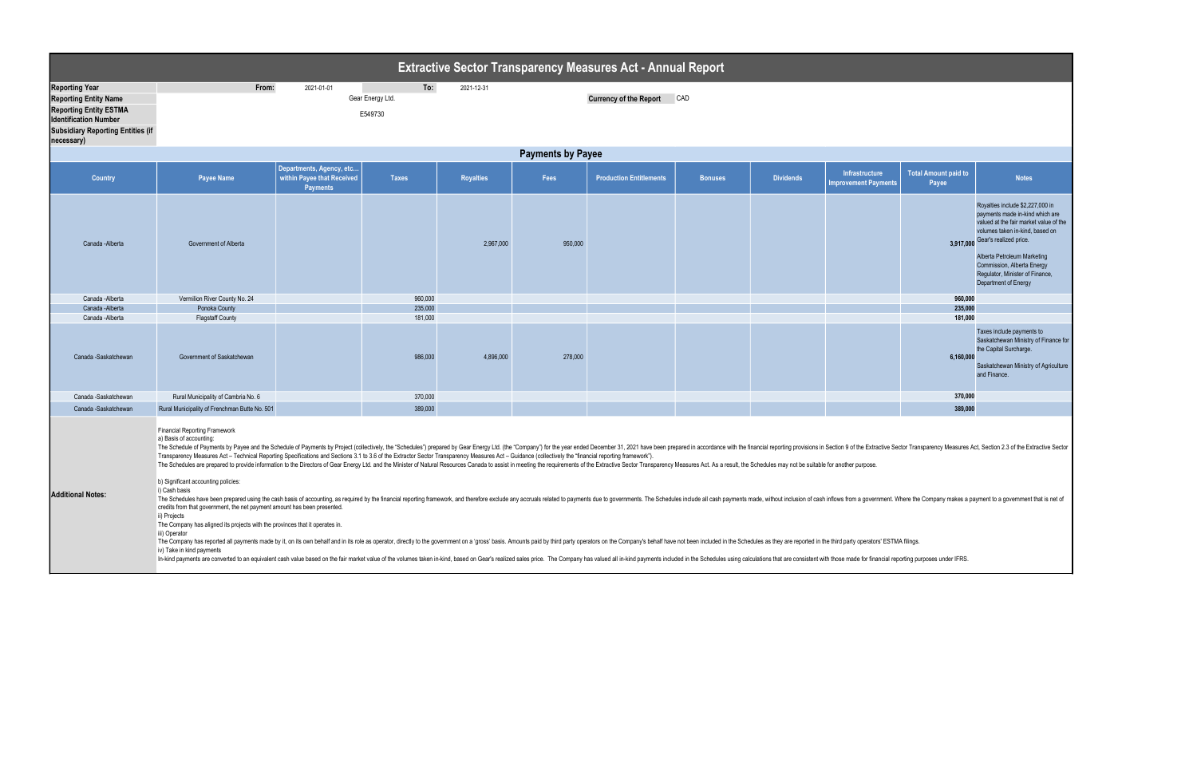| <b>Extractive Sector Transparency Measures Act - Annual Report</b>                                                                                                               |                                                                                                                                                                                                                                                                                                                                                                                                                                                                                                                                                                                                                                                                                                                                                                                                                                                                                                                                                                                                                                                                                                                                                                                                                                                                                                                                                                                                                                                                                                                                                                                                                                                                                                                                       |                                                                           |                                    |            |         |                                      |                |                  |                                                      |                                      |                                                                                                                                                                                                                                                                                                    |  |
|----------------------------------------------------------------------------------------------------------------------------------------------------------------------------------|---------------------------------------------------------------------------------------------------------------------------------------------------------------------------------------------------------------------------------------------------------------------------------------------------------------------------------------------------------------------------------------------------------------------------------------------------------------------------------------------------------------------------------------------------------------------------------------------------------------------------------------------------------------------------------------------------------------------------------------------------------------------------------------------------------------------------------------------------------------------------------------------------------------------------------------------------------------------------------------------------------------------------------------------------------------------------------------------------------------------------------------------------------------------------------------------------------------------------------------------------------------------------------------------------------------------------------------------------------------------------------------------------------------------------------------------------------------------------------------------------------------------------------------------------------------------------------------------------------------------------------------------------------------------------------------------------------------------------------------|---------------------------------------------------------------------------|------------------------------------|------------|---------|--------------------------------------|----------------|------------------|------------------------------------------------------|--------------------------------------|----------------------------------------------------------------------------------------------------------------------------------------------------------------------------------------------------------------------------------------------------------------------------------------------------|--|
| <b>Reporting Year</b><br><b>Reporting Entity Name</b><br><b>Reporting Entity ESTMA</b><br><b>Identification Number</b><br><b>Subsidiary Reporting Entities (if</b><br>necessary) | From:                                                                                                                                                                                                                                                                                                                                                                                                                                                                                                                                                                                                                                                                                                                                                                                                                                                                                                                                                                                                                                                                                                                                                                                                                                                                                                                                                                                                                                                                                                                                                                                                                                                                                                                                 | 2021-01-01                                                                | To:<br>Gear Energy Ltd.<br>E549730 | 2021-12-31 |         | <b>Currency of the Report</b><br>CAD |                |                  |                                                      |                                      |                                                                                                                                                                                                                                                                                                    |  |
|                                                                                                                                                                                  | <b>Payments by Payee</b>                                                                                                                                                                                                                                                                                                                                                                                                                                                                                                                                                                                                                                                                                                                                                                                                                                                                                                                                                                                                                                                                                                                                                                                                                                                                                                                                                                                                                                                                                                                                                                                                                                                                                                              |                                                                           |                                    |            |         |                                      |                |                  |                                                      |                                      |                                                                                                                                                                                                                                                                                                    |  |
| <b>Country</b>                                                                                                                                                                   | <b>Payee Name</b>                                                                                                                                                                                                                                                                                                                                                                                                                                                                                                                                                                                                                                                                                                                                                                                                                                                                                                                                                                                                                                                                                                                                                                                                                                                                                                                                                                                                                                                                                                                                                                                                                                                                                                                     | Departments, Agency, etc<br>within Payee that Received<br><b>Payments</b> | <b>Taxes</b>                       | Royalties  | Fees    | <b>Production Entitlements</b>       | <b>Bonuses</b> | <b>Dividends</b> | <b>Infrastructure</b><br><b>Improvement Payments</b> | <b>Total Amount paid to</b><br>Payee | <b>Notes</b>                                                                                                                                                                                                                                                                                       |  |
| Canada - Alberta                                                                                                                                                                 | <b>Government of Alberta</b>                                                                                                                                                                                                                                                                                                                                                                                                                                                                                                                                                                                                                                                                                                                                                                                                                                                                                                                                                                                                                                                                                                                                                                                                                                                                                                                                                                                                                                                                                                                                                                                                                                                                                                          |                                                                           |                                    | 2,967,000  | 950,000 |                                      |                |                  |                                                      | 3,917,000                            | Royalties include \$2,227,000 in<br>payments made in-kind which are<br>valued at the fair market value of the<br>volumes taken in-kind, based on<br>Gear's realized price.<br>Alberta Petroleum Marketing<br>Commission, Alberta Energy<br>Regulator, Minister of Finance,<br>Department of Energy |  |
| Canada -Alberta                                                                                                                                                                  | Vermilion River County No. 24                                                                                                                                                                                                                                                                                                                                                                                                                                                                                                                                                                                                                                                                                                                                                                                                                                                                                                                                                                                                                                                                                                                                                                                                                                                                                                                                                                                                                                                                                                                                                                                                                                                                                                         |                                                                           | 960,000                            |            |         |                                      |                |                  |                                                      | 960,000                              |                                                                                                                                                                                                                                                                                                    |  |
| Canada - Alberta<br>Canada -Alberta                                                                                                                                              | Ponoka County<br><b>Flagstaff County</b>                                                                                                                                                                                                                                                                                                                                                                                                                                                                                                                                                                                                                                                                                                                                                                                                                                                                                                                                                                                                                                                                                                                                                                                                                                                                                                                                                                                                                                                                                                                                                                                                                                                                                              |                                                                           | 235,000<br>181,000                 |            |         |                                      |                |                  |                                                      | 235,000<br>181,000                   |                                                                                                                                                                                                                                                                                                    |  |
| Canada -Saskatchewan                                                                                                                                                             | Government of Saskatchewan                                                                                                                                                                                                                                                                                                                                                                                                                                                                                                                                                                                                                                                                                                                                                                                                                                                                                                                                                                                                                                                                                                                                                                                                                                                                                                                                                                                                                                                                                                                                                                                                                                                                                                            |                                                                           | 986,000                            | 4,896,000  | 278,000 |                                      |                |                  |                                                      | 6,160,000                            | Taxes include payments to<br>Saskatchewan Ministry of Finance for<br>the Capital Surcharge.<br>Saskatchewan Ministry of Agriculture<br>and Finance.                                                                                                                                                |  |
| Canada -Saskatchewan                                                                                                                                                             | Rural Municipality of Cambria No. 6                                                                                                                                                                                                                                                                                                                                                                                                                                                                                                                                                                                                                                                                                                                                                                                                                                                                                                                                                                                                                                                                                                                                                                                                                                                                                                                                                                                                                                                                                                                                                                                                                                                                                                   |                                                                           | 370,000                            |            |         |                                      |                |                  |                                                      | 370,000                              |                                                                                                                                                                                                                                                                                                    |  |
| Canada -Saskatchewan                                                                                                                                                             | Rural Municipality of Frenchman Butte No. 501                                                                                                                                                                                                                                                                                                                                                                                                                                                                                                                                                                                                                                                                                                                                                                                                                                                                                                                                                                                                                                                                                                                                                                                                                                                                                                                                                                                                                                                                                                                                                                                                                                                                                         |                                                                           | 389,000                            |            |         |                                      |                |                  |                                                      | 389,000                              |                                                                                                                                                                                                                                                                                                    |  |
| <b>Additional Notes:</b>                                                                                                                                                         | <b>Financial Reporting Framework</b><br>a) Basis of accounting:<br>The Schedule of Payments by Payee and the Schedule of Payments by Project (collectively, the "Schedules") prepared by Gear Energy Ltd. (the "Company") for the year ended December 31, 2021 have been prepared in accordance w<br>Transparency Measures Act - Technical Reporting Specifications and Sections 3.1 to 3.6 of the Extractor Sector Transparency Measures Act - Guidance (collectively the "financial reporting framework").<br>The Schedules are prepared to provide information to the Directors of Gear Energy Ltd. and the Minister of Natural Resources Canada to assist in meeting the requirements of the Extractive Sector Transparency Measures Act.<br>b) Significant accounting policies:<br>i) Cash basis<br>The Schedules have been prepared using the cash basis of accounting, as required by the financial reporting framework, and therefore exclude any accruals related to payments due to governments. The Schedules include all ca<br>credits from that government, the net payment amount has been presented.<br>ii) Projects<br>The Company has aligned its projects with the provinces that it operates in.<br>iii) Operator<br>The Company has reported all payments made by it, on its own behalf and in its role as operator, directly to the government on a 'gross' basis. Amounts paid by third party operators on the Company's behalf have not been in<br>iv) Take in kind payments<br>In-kind payments are converted to an equivalent cash value based on the fair market value of the volumes taken in-kind, based on Gear's realized sales price. The Company has valued all in-kind payments included in the Sche |                                                                           |                                    |            |         |                                      |                |                  |                                                      |                                      |                                                                                                                                                                                                                                                                                                    |  |